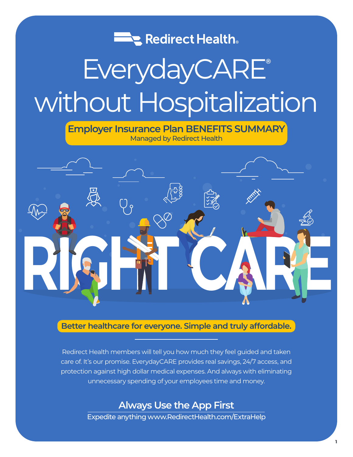

# EverydayCARE**®** without Hospitalization

**Employer Insurance Plan BENEFITS SUMMARY** Managed by Redirect Health



# **Better healthcare for everyone. Simple and truly affordable.**

Redirect Health members will tell you how much they feel guided and taken care of. It's our promise. EverydayCARE provides real savings, 24/7 access, and protection against high dollar medical expenses. And always with eliminating unnecessary spending of your employees time and money.

# **Always Use the App First**

Expedite anything www.RedirectHealth.com/ExtraHelp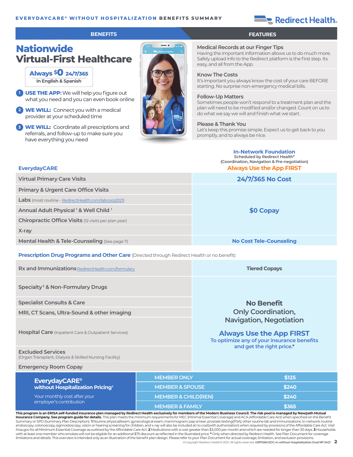#### **EVERYDAYCARE ® WITHOUT HOSPITALIZATION BENEFITS SUMMARY**

# Redirect Health.

#### **BENEFITS FEATURES**

# **Nationwide Virtual-First Healthcare**

**Always \$0 24/7/365 In English & Spanish**

**EverydayCARE**

- **<sup>1</sup> USE THE APP:**We will help you figure out what you need and you can even book online
- **<sup>2</sup> WE WILL:** Connect you with a medical provider at your scheduled time
- **<sup>3</sup> WE WILL:** Coordinate all prescriptions and referrals, and follow-up to make sure you have everything you need



#### **Medical Records at our Finger Tips**

Having the important information allows us to do much more. Safely upload info to the Redirect platform is the first step. Its easy, and all from the App.

#### **Know The Costs**

It's important you always know the cost of your care BEFORE starting. No surprise non-emergency medical bills.

#### **Follow-Up Matters**

Sometimes people won't respond to a treatment plan and the plan will need to be modified and/or changed. Count on us to do what we say we will and finish what we start.

#### **Please & Thank You**

Let's keep this promise simple. Expect us to get back to you promptly, and to always be nice.

#### **In-Network Foundation Scheduled by Redirect Health\***

**(Coordination, Navigation & Pre-negotiation) Always Use the App FIRST**

| <b>Virtual Primary Care Visits</b>                                                                | 24/7/365 No Cost               |  |
|---------------------------------------------------------------------------------------------------|--------------------------------|--|
| <b>Primary &amp; Urgent Care Office Visits</b>                                                    |                                |  |
| <b>Labs</b> (most routine - RedirectHealth.com/labcorp2021)                                       |                                |  |
| Annual Adult Physical 1 & Well Child 1                                                            | \$0 Copay                      |  |
| <b>Chiropractic Office Visits</b> (12 visits per plan year)                                       |                                |  |
| X-ray                                                                                             |                                |  |
| Mental Health & Tele-Counseling (See page 7)                                                      | <b>No Cost Tele-Counseling</b> |  |
| <b>Prescription Drug Programs and Other Care (Directed through Redirect Health or no benefit)</b> |                                |  |

| Rx and Immunizations RedirectHealth.com/formulary                                                                                                                                                                                                                                                        |                                | <b>Tiered Copays</b>                                                                                                                         |  |
|----------------------------------------------------------------------------------------------------------------------------------------------------------------------------------------------------------------------------------------------------------------------------------------------------------|--------------------------------|----------------------------------------------------------------------------------------------------------------------------------------------|--|
| Specialty <sup>2</sup> & Non-Formulary Drugs                                                                                                                                                                                                                                                             |                                |                                                                                                                                              |  |
| <b>Specialist Consults &amp; Care</b>                                                                                                                                                                                                                                                                    |                                | <b>No Benefit</b>                                                                                                                            |  |
| MRI, CT Scans, Ultra-Sound & other imaging                                                                                                                                                                                                                                                               |                                | <b>Only Coordination,</b>                                                                                                                    |  |
| <b>Hospital Care</b> (Inpatient Care & Outpatient Services)                                                                                                                                                                                                                                              |                                | <b>Navigation, Negotiation</b><br><b>Always Use the App FIRST</b><br>To optimize any of your insurance benefits<br>and get the right price.* |  |
| <b>Excluded Services</b><br>(Organ Transplant, Dialysis & Skilled Nursing Facility)                                                                                                                                                                                                                      |                                |                                                                                                                                              |  |
| <b>Emergency Room Copay</b>                                                                                                                                                                                                                                                                              |                                |                                                                                                                                              |  |
| <b>EverydayCARE<sup>®</sup></b><br>without Hospitalization Pricing <sup>3</sup><br>Your monthly cost after your<br>employer's contribution                                                                                                                                                               | <b>MEMBER ONLY</b>             | \$125                                                                                                                                        |  |
|                                                                                                                                                                                                                                                                                                          | <b>MEMBER &amp; SPOUSE</b>     | \$240                                                                                                                                        |  |
|                                                                                                                                                                                                                                                                                                          | <b>MEMBER &amp; CHILD(REN)</b> | \$240                                                                                                                                        |  |
|                                                                                                                                                                                                                                                                                                          | <b>MEMBER &amp; FAMILY</b>     | \$365                                                                                                                                        |  |
| This program is an ERISA self-funded insurance plan managed by Redirect Health exclusively for members of the Modern Business Council. The risk pool is managed by Newpath Mutual<br>.<br>$\mathcal{A} = \mathcal{A} + \mathcal{A}$ . The second of the second contract of $\mathcal{A}$ , $\mathcal{A}$ |                                |                                                                                                                                              |  |

©Copyright Redirect Health® 2021. All rights reserved. **GRP1065 EDC-m without Hospitalization Dual NP 0421 2 Insurance Company. See program guide for details.** This plan meets the minimum requirements for MEC (Minimal Essential Coverage) and ACA (Affordable Care Act) when specified on the Benefit Summary or SPD (Summary Plan Description). 1 Routine physical/exam; gynecological exam; mammogram; pap smear; prostate testing(PSA); other routine lab and immunizations. In-network routine<br>endoscopy, colonoscopy, sigmoidos hrsa.gov for all Minimum Essential Coverage as outlined by the Affordable Care Act. **2** Medications with a cost greater than \$3,000 per month and which are needed for longer than 30 days. **3** Households with at least one member who smokes will not be eligible for an additional \$75 discount as reflected in the illustrated price. **\*** Only when directed by Redirect Health. See Plan Document for coverage limitations and details. This overview is intended only as an illustration of the benefit plan design. Please refer to your Plan Document for actual coverage, limitation, and exclusion provisions.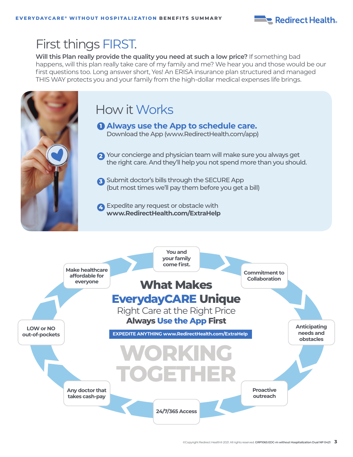

# First things FIRST.

**Will this Plan really provide the quality you need at such a low price?** If something bad happens, will this plan really take care of my family and me? We hear you and those would be our first questions too. Long answer short, Yes! An ERISA insurance plan structured and managed THIS WAY protects you and your family from the high-dollar medical expenses life brings.



# How it Works

**Always use the App to schedule care. 1** Download the App (www.RedirectHealth.com/app)

- Your concierge and physician team will make sure you always get **2** the right care. And they'll help you not spend more than you should.
- Submit doctor's bills through the SECURE App **3** (but most times we'll pay them before you get a bill)

Expedite any request or obstacle with **4 www.RedirectHealth.com/ExtraHelp**

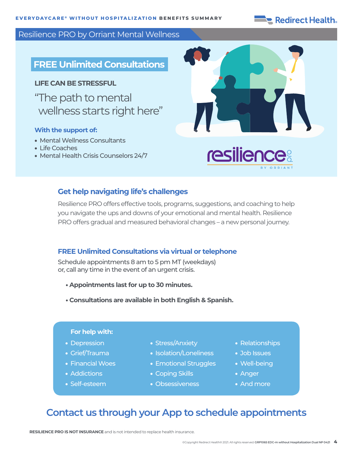# Redirect Health.

## Resilience PRO by Orriant Mental Wellness

# **FREE Unlimited Consultations**

### **LIFE CAN BE STRESSFUL**

" The path to mental wellness starts right here"

## **With the support of:**

- Mental Wellness Consultants
- Life Coaches
- Mental Health Crisis Counselors 24/7



# **Get help navigating life's challenges**

Resilience PRO offers effective tools, programs, suggestions, and coaching to help you navigate the ups and downs of your emotional and mental health. Resilience PRO offers gradual and measured behavioral changes – a new personal journey.

## **FREE Unlimited Consultations via virtual or telephone**

Schedule appointments 8 am to 5 pm MT (weekdays) or, call any time in the event of an urgent crisis.

- **Appointments last for up to 30 minutes.**
- **Consultations are available in both English & Spanish.**

#### **For help with:**

- Depression
- Grief/Trauma
- Financial Woes
- Addictions
- Self-esteem
- Stress/Anxiety
- Isolation/Loneliness
- Emotional Struggles
- Coping Skills
- Obsessiveness
- Relationships
- Job Issues
- Well-being
- Anger
- And more

# **Contact us through your App to schedule appointments**